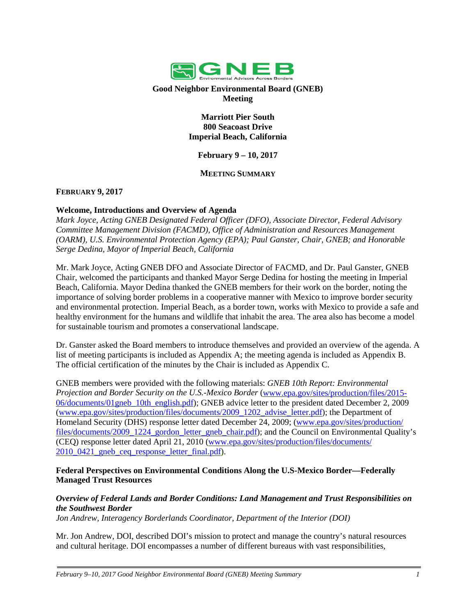

# **Good Neighbor Environmental Board (GNEB) Meeting**

### **Marriott Pier South 800 Seacoast Drive Imperial Beach, California**

### **February 9 – 10, 2017**

### **MEETING SUMMARY**

#### **FEBRUARY 9, 2017**

#### **Welcome, Introductions and Overview of Agenda**

*Mark Joyce, Acting GNEB Designated Federal Officer (DFO), Associate Director, Federal Advisory Committee Management Division (FACMD), Office of Administration and Resources Management (OARM), U.S. Environmental Protection Agency (EPA); Paul Ganster, Chair, GNEB; and Honorable Serge Dedina, Mayor of Imperial Beach, California*

Mr. Mark Joyce, Acting GNEB DFO and Associate Director of FACMD, and Dr. Paul Ganster, GNEB Chair, welcomed the participants and thanked Mayor Serge Dedina for hosting the meeting in Imperial Beach, California. Mayor Dedina thanked the GNEB members for their work on the border, noting the importance of solving border problems in a cooperative manner with Mexico to improve border security and environmental protection. Imperial Beach, as a border town, works with Mexico to provide a safe and healthy environment for the humans and wildlife that inhabit the area. The area also has become a model for sustainable tourism and promotes a conservational landscape.

Dr. Ganster asked the Board members to introduce themselves and provided an overview of the agenda. A list of meeting participants is included as Appendix A; the meeting agenda is included as Appendix B. The official certification of the minutes by the Chair is included as Appendix C.

GNEB members were provided with the following materials: *GNEB 10th Report: Environmental Projection and Border Security on the U.S.-Mexico Border* [\(www.epa.gov/sites/production/files/2015-](https://www.epa.gov/sites/production/files/2015-06/documents/01gneb_10th_english.pdf) 06/documents/01gneb 10th english.pdf); GNEB advice letter to the president dated December 2, 2009 [\(www.epa.gov/sites/production/files/documents/2009\\_1202\\_advise\\_letter.pdf\)](https://www.epa.gov/sites/production/files/documents/2009_1202_advise_letter.pdf); the Department of Homeland Security (DHS) response letter dated December 24, 2009; [\(www.epa.gov/sites/production/](https://www.epa.gov/sites/production/files/documents/2009_1224_gordon_letter_gneb_chair.pdf) [files/documents/2009\\_1224\\_gordon\\_letter\\_gneb\\_chair.pdf\)](https://www.epa.gov/sites/production/files/documents/2009_1224_gordon_letter_gneb_chair.pdf); and the Council on Environmental Quality's (CEQ) response letter dated April 21, 2010 [\(www.epa.gov/sites/production/files/documents/](https://www.epa.gov/sites/production/files/documents/2010_0421_gneb_ceq_response_letter_final.pdf) [2010\\_0421\\_gneb\\_ceq\\_response\\_letter\\_final.pdf\)](https://www.epa.gov/sites/production/files/documents/2010_0421_gneb_ceq_response_letter_final.pdf).

### **Federal Perspectives on Environmental Conditions Along the U.S-Mexico Border—Federally Managed Trust Resources**

# *Overview of Federal Lands and Border Conditions: Land Management and Trust Responsibilities on the Southwest Border*

*Jon Andrew, Interagency Borderlands Coordinator, Department of the Interior (DOI)*

Mr. Jon Andrew, DOI, described DOI's mission to protect and manage the country's natural resources and cultural heritage. DOI encompasses a number of different bureaus with vast responsibilities,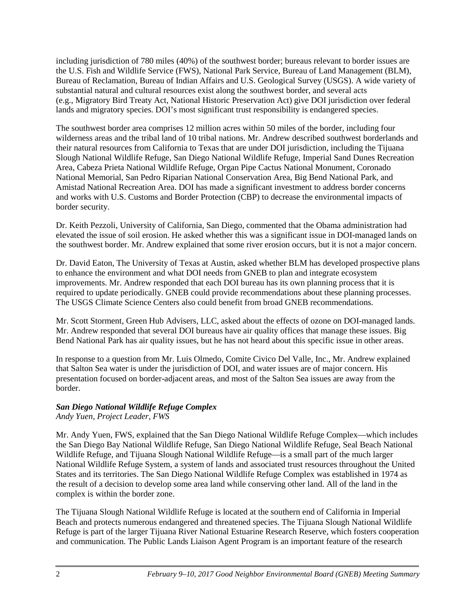including jurisdiction of 780 miles (40%) of the southwest border; bureaus relevant to border issues are the U.S. Fish and Wildlife Service (FWS), National Park Service, Bureau of Land Management (BLM), Bureau of Reclamation, Bureau of Indian Affairs and U.S. Geological Survey (USGS). A wide variety of substantial natural and cultural resources exist along the southwest border, and several acts (e.g., Migratory Bird Treaty Act, National Historic Preservation Act) give DOI jurisdiction over federal lands and migratory species. DOI's most significant trust responsibility is endangered species.

The southwest border area comprises 12 million acres within 50 miles of the border, including four wilderness areas and the tribal land of 10 tribal nations. Mr. Andrew described southwest borderlands and their natural resources from California to Texas that are under DOI jurisdiction, including the Tijuana Slough National Wildlife Refuge, San Diego National Wildlife Refuge, Imperial Sand Dunes Recreation Area, Cabeza Prieta National Wildlife Refuge, Organ Pipe Cactus National Monument, Coronado National Memorial, San Pedro Riparian National Conservation Area, Big Bend National Park, and Amistad National Recreation Area. DOI has made a significant investment to address border concerns and works with U.S. Customs and Border Protection (CBP) to decrease the environmental impacts of border security.

Dr. Keith Pezzoli, University of California, San Diego, commented that the Obama administration had elevated the issue of soil erosion. He asked whether this was a significant issue in DOI-managed lands on the southwest border. Mr. Andrew explained that some river erosion occurs, but it is not a major concern.

Dr. David Eaton, The University of Texas at Austin, asked whether BLM has developed prospective plans to enhance the environment and what DOI needs from GNEB to plan and integrate ecosystem improvements. Mr. Andrew responded that each DOI bureau has its own planning process that it is required to update periodically. GNEB could provide recommendations about these planning processes. The USGS Climate Science Centers also could benefit from broad GNEB recommendations.

Mr. Scott Storment, Green Hub Advisers, LLC, asked about the effects of ozone on DOI-managed lands. Mr. Andrew responded that several DOI bureaus have air quality offices that manage these issues. Big Bend National Park has air quality issues, but he has not heard about this specific issue in other areas.

In response to a question from Mr. Luis Olmedo, Comite Civico Del Valle, Inc., Mr. Andrew explained that Salton Sea water is under the jurisdiction of DOI, and water issues are of major concern. His presentation focused on border-adjacent areas, and most of the Salton Sea issues are away from the border.

# *San Diego National Wildlife Refuge Complex*

*Andy Yuen, Project Leader, FWS*

Mr. Andy Yuen, FWS, explained that the San Diego National Wildlife Refuge Complex—which includes the San Diego Bay National Wildlife Refuge, San Diego National Wildlife Refuge, Seal Beach National Wildlife Refuge, and Tijuana Slough National Wildlife Refuge—is a small part of the much larger National Wildlife Refuge System, a system of lands and associated trust resources throughout the United States and its territories. The San Diego National Wildlife Refuge Complex was established in 1974 as the result of a decision to develop some area land while conserving other land. All of the land in the complex is within the border zone.

The Tijuana Slough National Wildlife Refuge is located at the southern end of California in Imperial Beach and protects numerous endangered and threatened species. The Tijuana Slough National Wildlife Refuge is part of the larger Tijuana River National Estuarine Research Reserve, which fosters cooperation and communication. The Public Lands Liaison Agent Program is an important feature of the research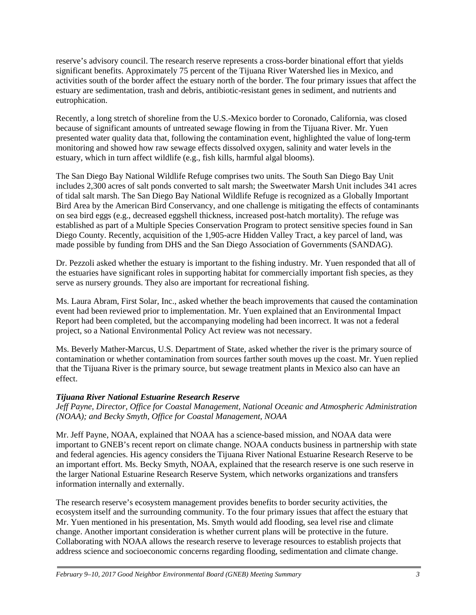reserve's advisory council. The research reserve represents a cross-border binational effort that yields significant benefits. Approximately 75 percent of the Tijuana River Watershed lies in Mexico, and activities south of the border affect the estuary north of the border. The four primary issues that affect the estuary are sedimentation, trash and debris, antibiotic-resistant genes in sediment, and nutrients and eutrophication.

Recently, a long stretch of shoreline from the U.S.-Mexico border to Coronado, California, was closed because of significant amounts of untreated sewage flowing in from the Tijuana River. Mr. Yuen presented water quality data that, following the contamination event, highlighted the value of long-term monitoring and showed how raw sewage effects dissolved oxygen, salinity and water levels in the estuary, which in turn affect wildlife (e.g., fish kills, harmful algal blooms).

The San Diego Bay National Wildlife Refuge comprises two units. The South San Diego Bay Unit includes 2,300 acres of salt ponds converted to salt marsh; the Sweetwater Marsh Unit includes 341 acres of tidal salt marsh. The San Diego Bay National Wildlife Refuge is recognized as a Globally Important Bird Area by the American Bird Conservancy, and one challenge is mitigating the effects of contaminants on sea bird eggs (e.g., decreased eggshell thickness, increased post-hatch mortality). The refuge was established as part of a Multiple Species Conservation Program to protect sensitive species found in San Diego County. Recently, acquisition of the 1,905-acre Hidden Valley Tract, a key parcel of land, was made possible by funding from DHS and the San Diego Association of Governments (SANDAG).

Dr. Pezzoli asked whether the estuary is important to the fishing industry. Mr. Yuen responded that all of the estuaries have significant roles in supporting habitat for commercially important fish species, as they serve as nursery grounds. They also are important for recreational fishing.

Ms. Laura Abram, First Solar, Inc., asked whether the beach improvements that caused the contamination event had been reviewed prior to implementation. Mr. Yuen explained that an Environmental Impact Report had been completed, but the accompanying modeling had been incorrect. It was not a federal project, so a National Environmental Policy Act review was not necessary.

Ms. Beverly Mather-Marcus, U.S. Department of State, asked whether the river is the primary source of contamination or whether contamination from sources farther south moves up the coast. Mr. Yuen replied that the Tijuana River is the primary source, but sewage treatment plants in Mexico also can have an effect.

# *Tijuana River National Estuarine Research Reserve*

*Jeff Payne, Director, Office for Coastal Management, National Oceanic and Atmospheric Administration (NOAA); and Becky Smyth, Office for Coastal Management, NOAA*

Mr. Jeff Payne, NOAA, explained that NOAA has a science-based mission, and NOAA data were important to GNEB's recent report on climate change. NOAA conducts business in partnership with state and federal agencies. His agency considers the Tijuana River National Estuarine Research Reserve to be an important effort. Ms. Becky Smyth, NOAA, explained that the research reserve is one such reserve in the larger National Estuarine Research Reserve System, which networks organizations and transfers information internally and externally.

The research reserve's ecosystem management provides benefits to border security activities, the ecosystem itself and the surrounding community. To the four primary issues that affect the estuary that Mr. Yuen mentioned in his presentation, Ms. Smyth would add flooding, sea level rise and climate change. Another important consideration is whether current plans will be protective in the future. Collaborating with NOAA allows the research reserve to leverage resources to establish projects that address science and socioeconomic concerns regarding flooding, sedimentation and climate change.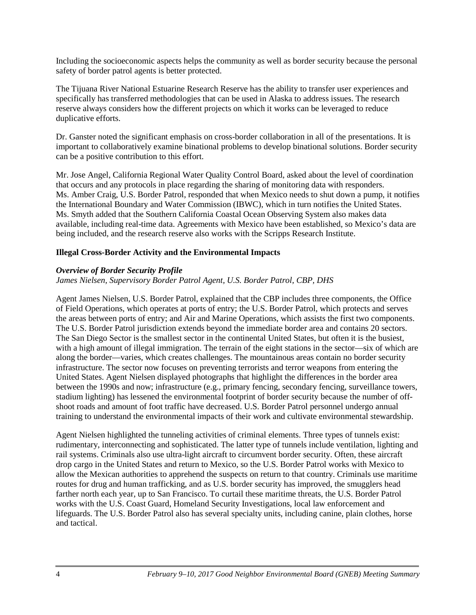Including the socioeconomic aspects helps the community as well as border security because the personal safety of border patrol agents is better protected.

The Tijuana River National Estuarine Research Reserve has the ability to transfer user experiences and specifically has transferred methodologies that can be used in Alaska to address issues. The research reserve always considers how the different projects on which it works can be leveraged to reduce duplicative efforts.

Dr. Ganster noted the significant emphasis on cross-border collaboration in all of the presentations. It is important to collaboratively examine binational problems to develop binational solutions. Border security can be a positive contribution to this effort.

Mr. Jose Angel, California Regional Water Quality Control Board, asked about the level of coordination that occurs and any protocols in place regarding the sharing of monitoring data with responders. Ms. Amber Craig, U.S. Border Patrol, responded that when Mexico needs to shut down a pump, it notifies the International Boundary and Water Commission (IBWC), which in turn notifies the United States. Ms. Smyth added that the Southern California Coastal Ocean Observing System also makes data available, including real-time data. Agreements with Mexico have been established, so Mexico's data are being included, and the research reserve also works with the Scripps Research Institute.

# **Illegal Cross-Border Activity and the Environmental Impacts**

#### *Overview of Border Security Profile*

*James Nielsen, Supervisory Border Patrol Agent, U.S. Border Patrol, CBP, DHS*

Agent James Nielsen, U.S. Border Patrol, explained that the CBP includes three components, the Office of Field Operations, which operates at ports of entry; the U.S. Border Patrol, which protects and serves the areas between ports of entry; and Air and Marine Operations, which assists the first two components. The U.S. Border Patrol jurisdiction extends beyond the immediate border area and contains 20 sectors. The San Diego Sector is the smallest sector in the continental United States, but often it is the busiest, with a high amount of illegal immigration. The terrain of the eight stations in the sector—six of which are along the border—varies, which creates challenges. The mountainous areas contain no border security infrastructure. The sector now focuses on preventing terrorists and terror weapons from entering the United States. Agent Nielsen displayed photographs that highlight the differences in the border area between the 1990s and now; infrastructure (e.g., primary fencing, secondary fencing, surveillance towers, stadium lighting) has lessened the environmental footprint of border security because the number of offshoot roads and amount of foot traffic have decreased. U.S. Border Patrol personnel undergo annual training to understand the environmental impacts of their work and cultivate environmental stewardship.

Agent Nielsen highlighted the tunneling activities of criminal elements. Three types of tunnels exist: rudimentary, interconnecting and sophisticated. The latter type of tunnels include ventilation, lighting and rail systems. Criminals also use ultra-light aircraft to circumvent border security. Often, these aircraft drop cargo in the United States and return to Mexico, so the U.S. Border Patrol works with Mexico to allow the Mexican authorities to apprehend the suspects on return to that country. Criminals use maritime routes for drug and human trafficking, and as U.S. border security has improved, the smugglers head farther north each year, up to San Francisco. To curtail these maritime threats, the U.S. Border Patrol works with the U.S. Coast Guard, Homeland Security Investigations, local law enforcement and lifeguards. The U.S. Border Patrol also has several specialty units, including canine, plain clothes, horse and tactical.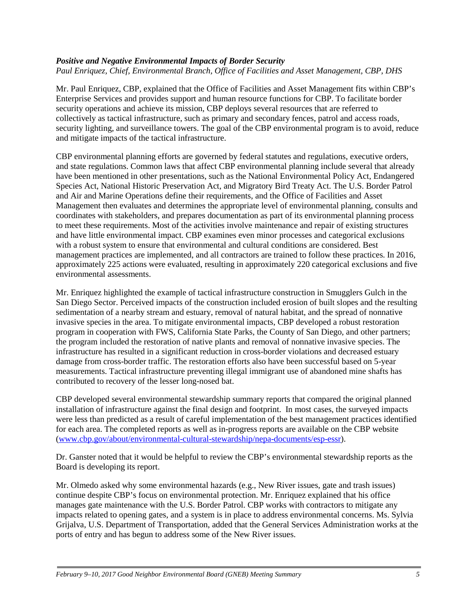# *Positive and Negative Environmental Impacts of Border Security*

*Paul Enriquez, Chief, Environmental Branch, Office of Facilities and Asset Management, CBP, DHS*

Mr. Paul Enriquez, CBP, explained that the Office of Facilities and Asset Management fits within CBP's Enterprise Services and provides support and human resource functions for CBP. To facilitate border security operations and achieve its mission, CBP deploys several resources that are referred to collectively as tactical infrastructure, such as primary and secondary fences, patrol and access roads, security lighting, and surveillance towers. The goal of the CBP environmental program is to avoid, reduce and mitigate impacts of the tactical infrastructure.

CBP environmental planning efforts are governed by federal statutes and regulations, executive orders, and state regulations. Common laws that affect CBP environmental planning include several that already have been mentioned in other presentations, such as the National Environmental Policy Act, Endangered Species Act, National Historic Preservation Act, and Migratory Bird Treaty Act. The U.S. Border Patrol and Air and Marine Operations define their requirements, and the Office of Facilities and Asset Management then evaluates and determines the appropriate level of environmental planning, consults and coordinates with stakeholders, and prepares documentation as part of its environmental planning process to meet these requirements. Most of the activities involve maintenance and repair of existing structures and have little environmental impact. CBP examines even minor processes and categorical exclusions with a robust system to ensure that environmental and cultural conditions are considered. Best management practices are implemented, and all contractors are trained to follow these practices. In 2016, approximately 225 actions were evaluated, resulting in approximately 220 categorical exclusions and five environmental assessments.

Mr. Enriquez highlighted the example of tactical infrastructure construction in Smugglers Gulch in the San Diego Sector. Perceived impacts of the construction included erosion of built slopes and the resulting sedimentation of a nearby stream and estuary, removal of natural habitat, and the spread of nonnative invasive species in the area. To mitigate environmental impacts, CBP developed a robust restoration program in cooperation with FWS, California State Parks, the County of San Diego, and other partners; the program included the restoration of native plants and removal of nonnative invasive species. The infrastructure has resulted in a significant reduction in cross-border violations and decreased estuary damage from cross-border traffic. The restoration efforts also have been successful based on 5-year measurements. Tactical infrastructure preventing illegal immigrant use of abandoned mine shafts has contributed to recovery of the lesser long-nosed bat.

CBP developed several environmental stewardship summary reports that compared the original planned installation of infrastructure against the final design and footprint. In most cases, the surveyed impacts were less than predicted as a result of careful implementation of the best management practices identified for each area. The completed reports as well as in-progress reports are available on the CBP website [\(www.cbp.gov/about/environmental-cultural-stewardship/nepa-documents/esp-essr\)](https://www.cbp.gov/about/environmental-cultural-stewardship/nepa-documents/esp-essr).

Dr. Ganster noted that it would be helpful to review the CBP's environmental stewardship reports as the Board is developing its report.

Mr. Olmedo asked why some environmental hazards (e.g., New River issues, gate and trash issues) continue despite CBP's focus on environmental protection. Mr. Enriquez explained that his office manages gate maintenance with the U.S. Border Patrol. CBP works with contractors to mitigate any impacts related to opening gates, and a system is in place to address environmental concerns. Ms. Sylvia Grijalva, U.S. Department of Transportation, added that the General Services Administration works at the ports of entry and has begun to address some of the New River issues.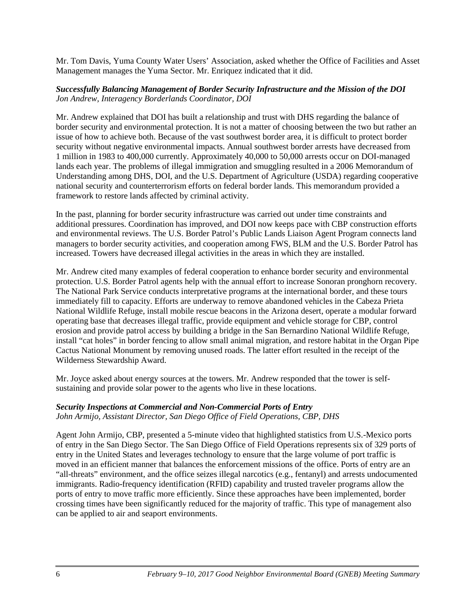Mr. Tom Davis, Yuma County Water Users' Association, asked whether the Office of Facilities and Asset Management manages the Yuma Sector. Mr. Enriquez indicated that it did.

# *Successfully Balancing Management of Border Security Infrastructure and the Mission of the DOI Jon Andrew, Interagency Borderlands Coordinator, DOI*

Mr. Andrew explained that DOI has built a relationship and trust with DHS regarding the balance of border security and environmental protection. It is not a matter of choosing between the two but rather an issue of how to achieve both. Because of the vast southwest border area, it is difficult to protect border security without negative environmental impacts. Annual southwest border arrests have decreased from 1 million in 1983 to 400,000 currently. Approximately 40,000 to 50,000 arrests occur on DOI-managed lands each year. The problems of illegal immigration and smuggling resulted in a 2006 Memorandum of Understanding among DHS, DOI, and the U.S. Department of Agriculture (USDA) regarding cooperative national security and counterterrorism efforts on federal border lands. This memorandum provided a framework to restore lands affected by criminal activity.

In the past, planning for border security infrastructure was carried out under time constraints and additional pressures. Coordination has improved, and DOI now keeps pace with CBP construction efforts and environmental reviews. The U.S. Border Patrol's Public Lands Liaison Agent Program connects land managers to border security activities, and cooperation among FWS, BLM and the U.S. Border Patrol has increased. Towers have decreased illegal activities in the areas in which they are installed.

Mr. Andrew cited many examples of federal cooperation to enhance border security and environmental protection. U.S. Border Patrol agents help with the annual effort to increase Sonoran pronghorn recovery. The National Park Service conducts interpretative programs at the international border, and these tours immediately fill to capacity. Efforts are underway to remove abandoned vehicles in the Cabeza Prieta National Wildlife Refuge, install mobile rescue beacons in the Arizona desert, operate a modular forward operating base that decreases illegal traffic, provide equipment and vehicle storage for CBP, control erosion and provide patrol access by building a bridge in the San Bernardino National Wildlife Refuge, install "cat holes" in border fencing to allow small animal migration, and restore habitat in the Organ Pipe Cactus National Monument by removing unused roads. The latter effort resulted in the receipt of the Wilderness Stewardship Award.

Mr. Joyce asked about energy sources at the towers. Mr. Andrew responded that the tower is selfsustaining and provide solar power to the agents who live in these locations.

# *Security Inspections at Commercial and Non-Commercial Ports of Entry*

*John Armijo, Assistant Director, San Diego Office of Field Operations, CBP, DHS*

Agent John Armijo, CBP, presented a 5-minute video that highlighted statistics from U.S.-Mexico ports of entry in the San Diego Sector. The San Diego Office of Field Operations represents six of 329 ports of entry in the United States and leverages technology to ensure that the large volume of port traffic is moved in an efficient manner that balances the enforcement missions of the office. Ports of entry are an "all-threats" environment, and the office seizes illegal narcotics (e.g., fentanyl) and arrests undocumented immigrants. Radio-frequency identification (RFID) capability and trusted traveler programs allow the ports of entry to move traffic more efficiently. Since these approaches have been implemented, border crossing times have been significantly reduced for the majority of traffic. This type of management also can be applied to air and seaport environments.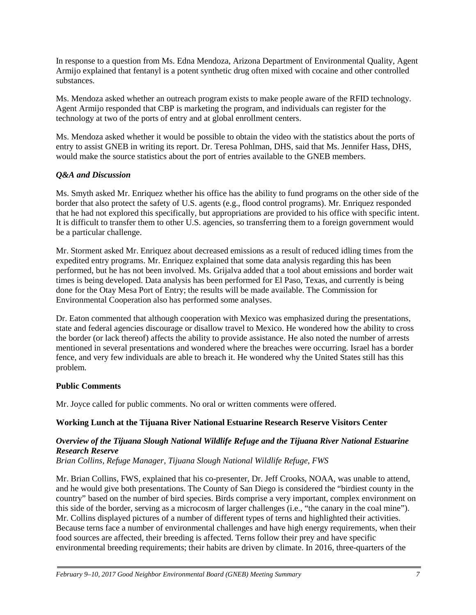In response to a question from Ms. Edna Mendoza, Arizona Department of Environmental Quality, Agent Armijo explained that fentanyl is a potent synthetic drug often mixed with cocaine and other controlled substances.

Ms. Mendoza asked whether an outreach program exists to make people aware of the RFID technology. Agent Armijo responded that CBP is marketing the program, and individuals can register for the technology at two of the ports of entry and at global enrollment centers.

Ms. Mendoza asked whether it would be possible to obtain the video with the statistics about the ports of entry to assist GNEB in writing its report. Dr. Teresa Pohlman, DHS, said that Ms. Jennifer Hass, DHS, would make the source statistics about the port of entries available to the GNEB members.

# *Q&A and Discussion*

Ms. Smyth asked Mr. Enriquez whether his office has the ability to fund programs on the other side of the border that also protect the safety of U.S. agents (e.g., flood control programs). Mr. Enriquez responded that he had not explored this specifically, but appropriations are provided to his office with specific intent. It is difficult to transfer them to other U.S. agencies, so transferring them to a foreign government would be a particular challenge.

Mr. Storment asked Mr. Enriquez about decreased emissions as a result of reduced idling times from the expedited entry programs. Mr. Enriquez explained that some data analysis regarding this has been performed, but he has not been involved. Ms. Grijalva added that a tool about emissions and border wait times is being developed. Data analysis has been performed for El Paso, Texas, and currently is being done for the Otay Mesa Port of Entry; the results will be made available. The Commission for Environmental Cooperation also has performed some analyses.

Dr. Eaton commented that although cooperation with Mexico was emphasized during the presentations, state and federal agencies discourage or disallow travel to Mexico. He wondered how the ability to cross the border (or lack thereof) affects the ability to provide assistance. He also noted the number of arrests mentioned in several presentations and wondered where the breaches were occurring. Israel has a border fence, and very few individuals are able to breach it. He wondered why the United States still has this problem.

# **Public Comments**

Mr. Joyce called for public comments. No oral or written comments were offered.

# **Working Lunch at the Tijuana River National Estuarine Research Reserve Visitors Center**

# *Overview of the Tijuana Slough National Wildlife Refuge and the Tijuana River National Estuarine Research Reserve*

*Brian Collins, Refuge Manager, Tijuana Slough National Wildlife Refuge, FWS*

Mr. Brian Collins, FWS, explained that his co-presenter, Dr. Jeff Crooks, NOAA, was unable to attend, and he would give both presentations. The County of San Diego is considered the "birdiest county in the country" based on the number of bird species. Birds comprise a very important, complex environment on this side of the border, serving as a microcosm of larger challenges (i.e., "the canary in the coal mine"). Mr. Collins displayed pictures of a number of different types of terns and highlighted their activities. Because terns face a number of environmental challenges and have high energy requirements, when their food sources are affected, their breeding is affected. Terns follow their prey and have specific environmental breeding requirements; their habits are driven by climate. In 2016, three-quarters of the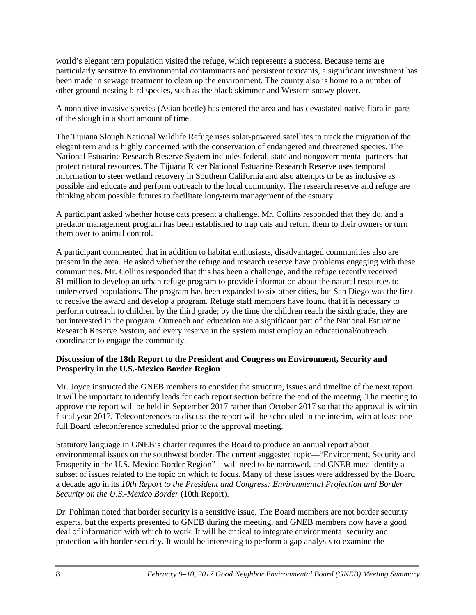world's elegant tern population visited the refuge, which represents a success. Because terns are particularly sensitive to environmental contaminants and persistent toxicants, a significant investment has been made in sewage treatment to clean up the environment. The county also is home to a number of other ground-nesting bird species, such as the black skimmer and Western snowy plover.

A nonnative invasive species (Asian beetle) has entered the area and has devastated native flora in parts of the slough in a short amount of time.

The Tijuana Slough National Wildlife Refuge uses solar-powered satellites to track the migration of the elegant tern and is highly concerned with the conservation of endangered and threatened species. The National Estuarine Research Reserve System includes federal, state and nongovernmental partners that protect natural resources. The Tijuana River National Estuarine Research Reserve uses temporal information to steer wetland recovery in Southern California and also attempts to be as inclusive as possible and educate and perform outreach to the local community. The research reserve and refuge are thinking about possible futures to facilitate long-term management of the estuary.

A participant asked whether house cats present a challenge. Mr. Collins responded that they do, and a predator management program has been established to trap cats and return them to their owners or turn them over to animal control.

A participant commented that in addition to habitat enthusiasts, disadvantaged communities also are present in the area. He asked whether the refuge and research reserve have problems engaging with these communities. Mr. Collins responded that this has been a challenge, and the refuge recently received \$1 million to develop an urban refuge program to provide information about the natural resources to underserved populations. The program has been expanded to six other cities, but San Diego was the first to receive the award and develop a program. Refuge staff members have found that it is necessary to perform outreach to children by the third grade; by the time the children reach the sixth grade, they are not interested in the program. Outreach and education are a significant part of the National Estuarine Research Reserve System, and every reserve in the system must employ an educational/outreach coordinator to engage the community.

# **Discussion of the 18th Report to the President and Congress on Environment, Security and Prosperity in the U.S.-Mexico Border Region**

Mr. Joyce instructed the GNEB members to consider the structure, issues and timeline of the next report. It will be important to identify leads for each report section before the end of the meeting. The meeting to approve the report will be held in September 2017 rather than October 2017 so that the approval is within fiscal year 2017. Teleconferences to discuss the report will be scheduled in the interim, with at least one full Board teleconference scheduled prior to the approval meeting.

Statutory language in GNEB's charter requires the Board to produce an annual report about environmental issues on the southwest border. The current suggested topic—"Environment, Security and Prosperity in the U.S.-Mexico Border Region"—will need to be narrowed, and GNEB must identify a subset of issues related to the topic on which to focus. Many of these issues were addressed by the Board a decade ago in its *10th Report to the President and Congress: Environmental Projection and Border Security on the U.S.-Mexico Border* (10th Report).

Dr. Pohlman noted that border security is a sensitive issue. The Board members are not border security experts, but the experts presented to GNEB during the meeting, and GNEB members now have a good deal of information with which to work. It will be critical to integrate environmental security and protection with border security. It would be interesting to perform a gap analysis to examine the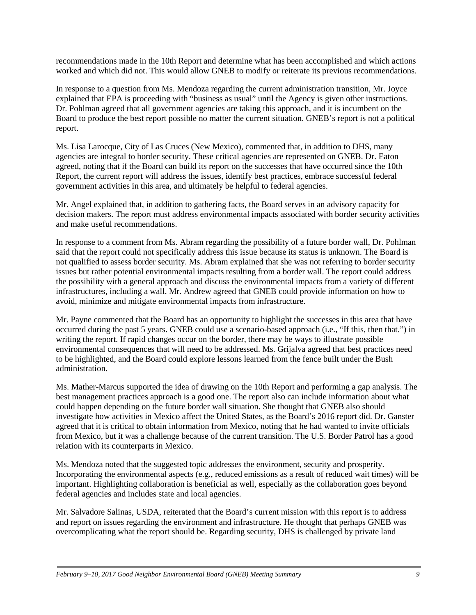recommendations made in the 10th Report and determine what has been accomplished and which actions worked and which did not. This would allow GNEB to modify or reiterate its previous recommendations.

In response to a question from Ms. Mendoza regarding the current administration transition, Mr. Joyce explained that EPA is proceeding with "business as usual" until the Agency is given other instructions. Dr. Pohlman agreed that all government agencies are taking this approach, and it is incumbent on the Board to produce the best report possible no matter the current situation. GNEB's report is not a political report.

Ms. Lisa Larocque, City of Las Cruces (New Mexico), commented that, in addition to DHS, many agencies are integral to border security. These critical agencies are represented on GNEB. Dr. Eaton agreed, noting that if the Board can build its report on the successes that have occurred since the 10th Report, the current report will address the issues, identify best practices, embrace successful federal government activities in this area, and ultimately be helpful to federal agencies.

Mr. Angel explained that, in addition to gathering facts, the Board serves in an advisory capacity for decision makers. The report must address environmental impacts associated with border security activities and make useful recommendations.

In response to a comment from Ms. Abram regarding the possibility of a future border wall, Dr. Pohlman said that the report could not specifically address this issue because its status is unknown. The Board is not qualified to assess border security. Ms. Abram explained that she was not referring to border security issues but rather potential environmental impacts resulting from a border wall. The report could address the possibility with a general approach and discuss the environmental impacts from a variety of different infrastructures, including a wall. Mr. Andrew agreed that GNEB could provide information on how to avoid, minimize and mitigate environmental impacts from infrastructure.

Mr. Payne commented that the Board has an opportunity to highlight the successes in this area that have occurred during the past 5 years. GNEB could use a scenario-based approach (i.e., "If this, then that.") in writing the report. If rapid changes occur on the border, there may be ways to illustrate possible environmental consequences that will need to be addressed. Ms. Grijalva agreed that best practices need to be highlighted, and the Board could explore lessons learned from the fence built under the Bush administration.

Ms. Mather-Marcus supported the idea of drawing on the 10th Report and performing a gap analysis. The best management practices approach is a good one. The report also can include information about what could happen depending on the future border wall situation. She thought that GNEB also should investigate how activities in Mexico affect the United States, as the Board's 2016 report did. Dr. Ganster agreed that it is critical to obtain information from Mexico, noting that he had wanted to invite officials from Mexico, but it was a challenge because of the current transition. The U.S. Border Patrol has a good relation with its counterparts in Mexico.

Ms. Mendoza noted that the suggested topic addresses the environment, security and prosperity. Incorporating the environmental aspects (e.g., reduced emissions as a result of reduced wait times) will be important. Highlighting collaboration is beneficial as well, especially as the collaboration goes beyond federal agencies and includes state and local agencies.

Mr. Salvadore Salinas, USDA, reiterated that the Board's current mission with this report is to address and report on issues regarding the environment and infrastructure. He thought that perhaps GNEB was overcomplicating what the report should be. Regarding security, DHS is challenged by private land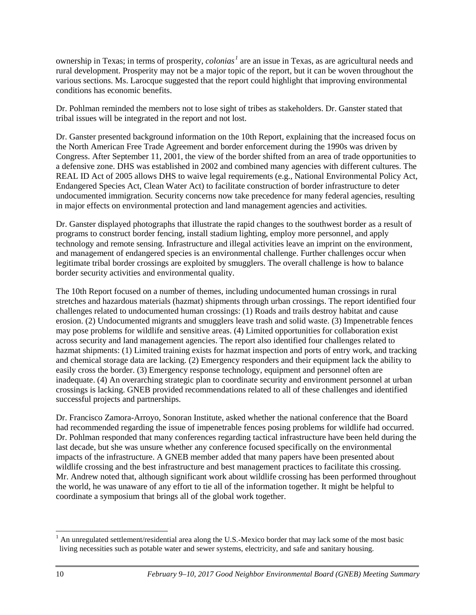ownership in Texas; in terms of prosperity, *colonias*<sup>1</sup> are an issue in Texas, as are agricultural needs and rural development. Prosperity may not be a major topic of the report, but it can be woven throughout the various sections. Ms. Larocque suggested that the report could highlight that improving environmental conditions has economic benefits.

Dr. Pohlman reminded the members not to lose sight of tribes as stakeholders. Dr. Ganster stated that tribal issues will be integrated in the report and not lost.

Dr. Ganster presented background information on the 10th Report, explaining that the increased focus on the North American Free Trade Agreement and border enforcement during the 1990s was driven by Congress. After September 11, 2001, the view of the border shifted from an area of trade opportunities to a defensive zone. DHS was established in 2002 and combined many agencies with different cultures. The REAL ID Act of 2005 allows DHS to waive legal requirements (e.g., National Environmental Policy Act, Endangered Species Act, Clean Water Act) to facilitate construction of border infrastructure to deter undocumented immigration. Security concerns now take precedence for many federal agencies, resulting in major effects on environmental protection and land management agencies and activities.

Dr. Ganster displayed photographs that illustrate the rapid changes to the southwest border as a result of programs to construct border fencing, install stadium lighting, employ more personnel, and apply technology and remote sensing. Infrastructure and illegal activities leave an imprint on the environment, and management of endangered species is an environmental challenge. Further challenges occur when legitimate tribal border crossings are exploited by smugglers. The overall challenge is how to balance border security activities and environmental quality.

The 10th Report focused on a number of themes, including undocumented human crossings in rural stretches and hazardous materials (hazmat) shipments through urban crossings. The report identified four challenges related to undocumented human crossings: (1) Roads and trails destroy habitat and cause erosion. (2) Undocumented migrants and smugglers leave trash and solid waste. (3) Impenetrable fences may pose problems for wildlife and sensitive areas. (4) Limited opportunities for collaboration exist across security and land management agencies. The report also identified four challenges related to hazmat shipments: (1) Limited training exists for hazmat inspection and ports of entry work, and tracking and chemical storage data are lacking. (2) Emergency responders and their equipment lack the ability to easily cross the border. (3) Emergency response technology, equipment and personnel often are inadequate. (4) An overarching strategic plan to coordinate security and environment personnel at urban crossings is lacking. GNEB provided recommendations related to all of these challenges and identified successful projects and partnerships.

Dr. Francisco Zamora-Arroyo, Sonoran Institute, asked whether the national conference that the Board had recommended regarding the issue of impenetrable fences posing problems for wildlife had occurred. Dr. Pohlman responded that many conferences regarding tactical infrastructure have been held during the last decade, but she was unsure whether any conference focused specifically on the environmental impacts of the infrastructure. A GNEB member added that many papers have been presented about wildlife crossing and the best infrastructure and best management practices to facilitate this crossing. Mr. Andrew noted that, although significant work about wildlife crossing has been performed throughout the world, he was unaware of any effort to tie all of the information together. It might be helpful to coordinate a symposium that brings all of the global work together.

 $1$  An unregulated settlement/residential area along the U.S.-Mexico border that may lack some of the most basic living necessities such as potable water and sewer systems, electricity, and safe and sanitary housing.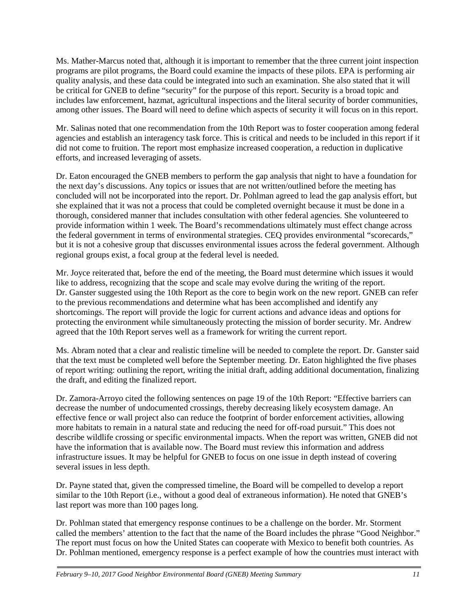Ms. Mather-Marcus noted that, although it is important to remember that the three current joint inspection programs are pilot programs, the Board could examine the impacts of these pilots. EPA is performing air quality analysis, and these data could be integrated into such an examination. She also stated that it will be critical for GNEB to define "security" for the purpose of this report. Security is a broad topic and includes law enforcement, hazmat, agricultural inspections and the literal security of border communities, among other issues. The Board will need to define which aspects of security it will focus on in this report.

Mr. Salinas noted that one recommendation from the 10th Report was to foster cooperation among federal agencies and establish an interagency task force. This is critical and needs to be included in this report if it did not come to fruition. The report most emphasize increased cooperation, a reduction in duplicative efforts, and increased leveraging of assets.

Dr. Eaton encouraged the GNEB members to perform the gap analysis that night to have a foundation for the next day's discussions. Any topics or issues that are not written/outlined before the meeting has concluded will not be incorporated into the report. Dr. Pohlman agreed to lead the gap analysis effort, but she explained that it was not a process that could be completed overnight because it must be done in a thorough, considered manner that includes consultation with other federal agencies. She volunteered to provide information within 1 week. The Board's recommendations ultimately must effect change across the federal government in terms of environmental strategies. CEQ provides environmental "scorecards," but it is not a cohesive group that discusses environmental issues across the federal government. Although regional groups exist, a focal group at the federal level is needed.

Mr. Joyce reiterated that, before the end of the meeting, the Board must determine which issues it would like to address, recognizing that the scope and scale may evolve during the writing of the report. Dr. Ganster suggested using the 10th Report as the core to begin work on the new report. GNEB can refer to the previous recommendations and determine what has been accomplished and identify any shortcomings. The report will provide the logic for current actions and advance ideas and options for protecting the environment while simultaneously protecting the mission of border security. Mr. Andrew agreed that the 10th Report serves well as a framework for writing the current report.

Ms. Abram noted that a clear and realistic timeline will be needed to complete the report. Dr. Ganster said that the text must be completed well before the September meeting. Dr. Eaton highlighted the five phases of report writing: outlining the report, writing the initial draft, adding additional documentation, finalizing the draft, and editing the finalized report.

Dr. Zamora-Arroyo cited the following sentences on page 19 of the 10th Report: "Effective barriers can decrease the number of undocumented crossings, thereby decreasing likely ecosystem damage. An effective fence or wall project also can reduce the footprint of border enforcement activities, allowing more habitats to remain in a natural state and reducing the need for off-road pursuit." This does not describe wildlife crossing or specific environmental impacts. When the report was written, GNEB did not have the information that is available now. The Board must review this information and address infrastructure issues. It may be helpful for GNEB to focus on one issue in depth instead of covering several issues in less depth.

Dr. Payne stated that, given the compressed timeline, the Board will be compelled to develop a report similar to the 10th Report (i.e., without a good deal of extraneous information). He noted that GNEB's last report was more than 100 pages long.

Dr. Pohlman stated that emergency response continues to be a challenge on the border. Mr. Storment called the members' attention to the fact that the name of the Board includes the phrase "Good Neighbor." The report must focus on how the United States can cooperate with Mexico to benefit both countries. As Dr. Pohlman mentioned, emergency response is a perfect example of how the countries must interact with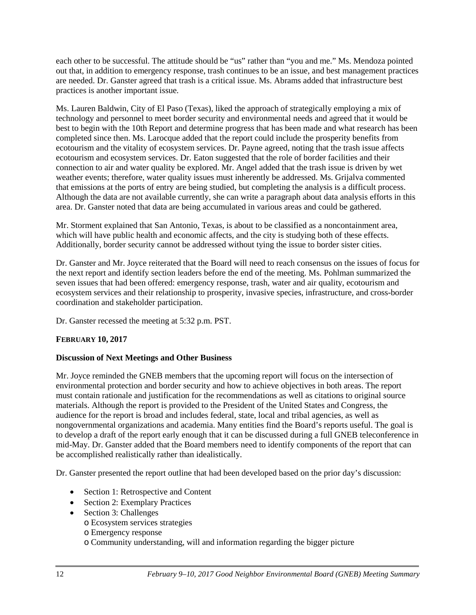each other to be successful. The attitude should be "us" rather than "you and me." Ms. Mendoza pointed out that, in addition to emergency response, trash continues to be an issue, and best management practices are needed. Dr. Ganster agreed that trash is a critical issue. Ms. Abrams added that infrastructure best practices is another important issue.

Ms. Lauren Baldwin, City of El Paso (Texas), liked the approach of strategically employing a mix of technology and personnel to meet border security and environmental needs and agreed that it would be best to begin with the 10th Report and determine progress that has been made and what research has been completed since then. Ms. Larocque added that the report could include the prosperity benefits from ecotourism and the vitality of ecosystem services. Dr. Payne agreed, noting that the trash issue affects ecotourism and ecosystem services. Dr. Eaton suggested that the role of border facilities and their connection to air and water quality be explored. Mr. Angel added that the trash issue is driven by wet weather events; therefore, water quality issues must inherently be addressed. Ms. Grijalva commented that emissions at the ports of entry are being studied, but completing the analysis is a difficult process. Although the data are not available currently, she can write a paragraph about data analysis efforts in this area. Dr. Ganster noted that data are being accumulated in various areas and could be gathered.

Mr. Storment explained that San Antonio, Texas, is about to be classified as a noncontainment area, which will have public health and economic affects, and the city is studying both of these effects. Additionally, border security cannot be addressed without tying the issue to border sister cities.

Dr. Ganster and Mr. Joyce reiterated that the Board will need to reach consensus on the issues of focus for the next report and identify section leaders before the end of the meeting. Ms. Pohlman summarized the seven issues that had been offered: emergency response, trash, water and air quality, ecotourism and ecosystem services and their relationship to prosperity, invasive species, infrastructure, and cross-border coordination and stakeholder participation.

Dr. Ganster recessed the meeting at 5:32 p.m. PST.

# **FEBRUARY 10, 2017**

# **Discussion of Next Meetings and Other Business**

Mr. Joyce reminded the GNEB members that the upcoming report will focus on the intersection of environmental protection and border security and how to achieve objectives in both areas. The report must contain rationale and justification for the recommendations as well as citations to original source materials. Although the report is provided to the President of the United States and Congress, the audience for the report is broad and includes federal, state, local and tribal agencies, as well as nongovernmental organizations and academia. Many entities find the Board's reports useful. The goal is to develop a draft of the report early enough that it can be discussed during a full GNEB teleconference in mid-May. Dr. Ganster added that the Board members need to identify components of the report that can be accomplished realistically rather than idealistically.

Dr. Ganster presented the report outline that had been developed based on the prior day's discussion:

- Section 1: Retrospective and Content
- Section 2: Exemplary Practices
- Section 3: Challenges
	- o Ecosystem services strategies
	- o Emergency response
	- o Community understanding, will and information regarding the bigger picture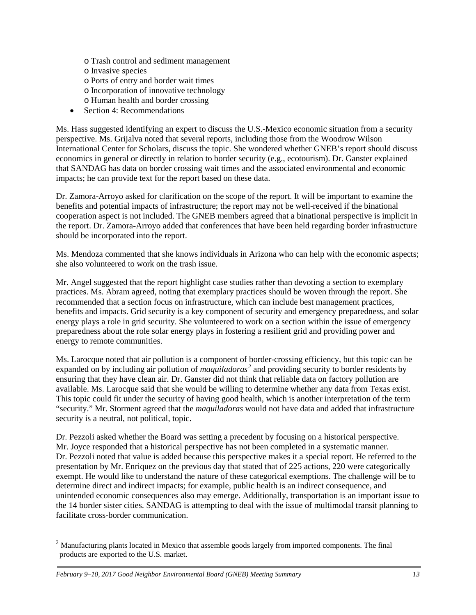- o Trash control and sediment management
- o Invasive species
- o Ports of entry and border wait times
- o Incorporation of innovative technology
- o Human health and border crossing
- Section 4: Recommendations

Ms. Hass suggested identifying an expert to discuss the U.S.-Mexico economic situation from a security perspective. Ms. Grijalva noted that several reports, including those from the Woodrow Wilson International Center for Scholars, discuss the topic. She wondered whether GNEB's report should discuss economics in general or directly in relation to border security (e.g., ecotourism). Dr. Ganster explained that SANDAG has data on border crossing wait times and the associated environmental and economic impacts; he can provide text for the report based on these data.

Dr. Zamora-Arroyo asked for clarification on the scope of the report. It will be important to examine the benefits and potential impacts of infrastructure; the report may not be well-received if the binational cooperation aspect is not included. The GNEB members agreed that a binational perspective is implicit in the report. Dr. Zamora-Arroyo added that conferences that have been held regarding border infrastructure should be incorporated into the report.

Ms. Mendoza commented that she knows individuals in Arizona who can help with the economic aspects; she also volunteered to work on the trash issue.

Mr. Angel suggested that the report highlight case studies rather than devoting a section to exemplary practices. Ms. Abram agreed, noting that exemplary practices should be woven through the report. She recommended that a section focus on infrastructure, which can include best management practices, benefits and impacts. Grid security is a key component of security and emergency preparedness, and solar energy plays a role in grid security. She volunteered to work on a section within the issue of emergency preparedness about the role solar energy plays in fostering a resilient grid and providing power and energy to remote communities.

Ms. Larocque noted that air pollution is a component of border-crossing efficiency, but this topic can be expanded on by including air pollution of *maquiladoras*<sup>2</sup> and providing security to border residents by ensuring that they have clean air. Dr. Ganster did not think that reliable data on factory pollution are available. Ms. Larocque said that she would be willing to determine whether any data from Texas exist. This topic could fit under the security of having good health, which is another interpretation of the term "security." Mr. Storment agreed that the *maquiladoras* would not have data and added that infrastructure security is a neutral, not political, topic.

Dr. Pezzoli asked whether the Board was setting a precedent by focusing on a historical perspective. Mr. Joyce responded that a historical perspective has not been completed in a systematic manner. Dr. Pezzoli noted that value is added because this perspective makes it a special report. He referred to the presentation by Mr. Enriquez on the previous day that stated that of 225 actions, 220 were categorically exempt. He would like to understand the nature of these categorical exemptions. The challenge will be to determine direct and indirect impacts; for example, public health is an indirect consequence, and unintended economic consequences also may emerge. Additionally, transportation is an important issue to the 14 border sister cities. SANDAG is attempting to deal with the issue of multimodal transit planning to facilitate cross-border communication.

<sup>&</sup>lt;sup>2</sup> Manufacturing plants located in Mexico that assemble goods largely from imported components. The final products are exported to the U.S. market.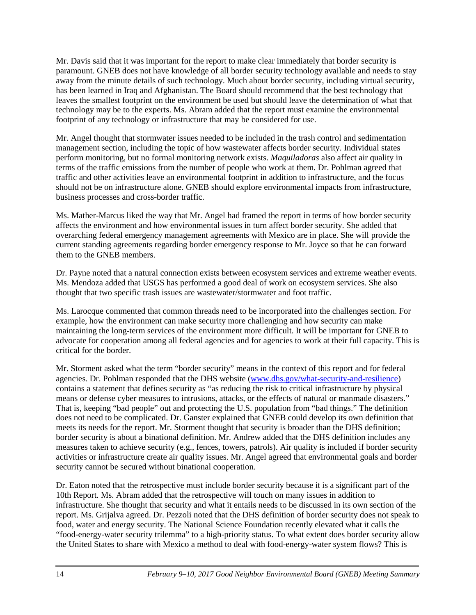Mr. Davis said that it was important for the report to make clear immediately that border security is paramount. GNEB does not have knowledge of all border security technology available and needs to stay away from the minute details of such technology. Much about border security, including virtual security, has been learned in Iraq and Afghanistan. The Board should recommend that the best technology that leaves the smallest footprint on the environment be used but should leave the determination of what that technology may be to the experts. Ms. Abram added that the report must examine the environmental footprint of any technology or infrastructure that may be considered for use.

Mr. Angel thought that stormwater issues needed to be included in the trash control and sedimentation management section, including the topic of how wastewater affects border security. Individual states perform monitoring, but no formal monitoring network exists. *Maquiladoras* also affect air quality in terms of the traffic emissions from the number of people who work at them. Dr. Pohlman agreed that traffic and other activities leave an environmental footprint in addition to infrastructure, and the focus should not be on infrastructure alone. GNEB should explore environmental impacts from infrastructure, business processes and cross-border traffic.

Ms. Mather-Marcus liked the way that Mr. Angel had framed the report in terms of how border security affects the environment and how environmental issues in turn affect border security. She added that overarching federal emergency management agreements with Mexico are in place. She will provide the current standing agreements regarding border emergency response to Mr. Joyce so that he can forward them to the GNEB members.

Dr. Payne noted that a natural connection exists between ecosystem services and extreme weather events. Ms. Mendoza added that USGS has performed a good deal of work on ecosystem services. She also thought that two specific trash issues are wastewater/stormwater and foot traffic.

Ms. Larocque commented that common threads need to be incorporated into the challenges section. For example, how the environment can make security more challenging and how security can make maintaining the long-term services of the environment more difficult. It will be important for GNEB to advocate for cooperation among all federal agencies and for agencies to work at their full capacity. This is critical for the border.

Mr. Storment asked what the term "border security" means in the context of this report and for federal agencies. Dr. Pohlman responded that the DHS website [\(www.dhs.gov/what-security-and-resilience\)](https://www.dhs.gov/what-security-and-resilience) contains a statement that defines security as "as reducing the risk to critical infrastructure by physical means or defense cyber measures to intrusions, attacks, or the effects of natural or manmade disasters." That is, keeping "bad people" out and protecting the U.S. population from "bad things." The definition does not need to be complicated. Dr. Ganster explained that GNEB could develop its own definition that meets its needs for the report. Mr. Storment thought that security is broader than the DHS definition; border security is about a binational definition. Mr. Andrew added that the DHS definition includes any measures taken to achieve security (e.g., fences, towers, patrols). Air quality is included if border security activities or infrastructure create air quality issues. Mr. Angel agreed that environmental goals and border security cannot be secured without binational cooperation.

Dr. Eaton noted that the retrospective must include border security because it is a significant part of the 10th Report. Ms. Abram added that the retrospective will touch on many issues in addition to infrastructure. She thought that security and what it entails needs to be discussed in its own section of the report. Ms. Grijalva agreed. Dr. Pezzoli noted that the DHS definition of border security does not speak to food, water and energy security. The National Science Foundation recently elevated what it calls the "food-energy-water security trilemma" to a high-priority status. To what extent does border security allow the United States to share with Mexico a method to deal with food-energy-water system flows? This is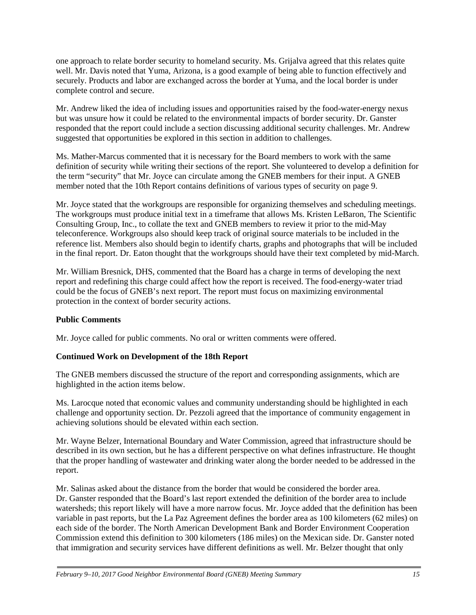one approach to relate border security to homeland security. Ms. Grijalva agreed that this relates quite well. Mr. Davis noted that Yuma, Arizona, is a good example of being able to function effectively and securely. Products and labor are exchanged across the border at Yuma, and the local border is under complete control and secure.

Mr. Andrew liked the idea of including issues and opportunities raised by the food-water-energy nexus but was unsure how it could be related to the environmental impacts of border security. Dr. Ganster responded that the report could include a section discussing additional security challenges. Mr. Andrew suggested that opportunities be explored in this section in addition to challenges.

Ms. Mather-Marcus commented that it is necessary for the Board members to work with the same definition of security while writing their sections of the report. She volunteered to develop a definition for the term "security" that Mr. Joyce can circulate among the GNEB members for their input. A GNEB member noted that the 10th Report contains definitions of various types of security on page 9.

Mr. Joyce stated that the workgroups are responsible for organizing themselves and scheduling meetings. The workgroups must produce initial text in a timeframe that allows Ms. Kristen LeBaron, The Scientific Consulting Group, Inc., to collate the text and GNEB members to review it prior to the mid-May teleconference. Workgroups also should keep track of original source materials to be included in the reference list. Members also should begin to identify charts, graphs and photographs that will be included in the final report. Dr. Eaton thought that the workgroups should have their text completed by mid-March.

Mr. William Bresnick, DHS, commented that the Board has a charge in terms of developing the next report and redefining this charge could affect how the report is received. The food-energy-water triad could be the focus of GNEB's next report. The report must focus on maximizing environmental protection in the context of border security actions.

# **Public Comments**

Mr. Joyce called for public comments. No oral or written comments were offered.

# **Continued Work on Development of the 18th Report**

The GNEB members discussed the structure of the report and corresponding assignments, which are highlighted in the action items below.

Ms. Larocque noted that economic values and community understanding should be highlighted in each challenge and opportunity section. Dr. Pezzoli agreed that the importance of community engagement in achieving solutions should be elevated within each section.

Mr. Wayne Belzer, International Boundary and Water Commission, agreed that infrastructure should be described in its own section, but he has a different perspective on what defines infrastructure. He thought that the proper handling of wastewater and drinking water along the border needed to be addressed in the report.

Mr. Salinas asked about the distance from the border that would be considered the border area. Dr. Ganster responded that the Board's last report extended the definition of the border area to include watersheds; this report likely will have a more narrow focus. Mr. Joyce added that the definition has been variable in past reports, but the La Paz Agreement defines the border area as 100 kilometers (62 miles) on each side of the border. The North American Development Bank and Border Environment Cooperation Commission extend this definition to 300 kilometers (186 miles) on the Mexican side. Dr. Ganster noted that immigration and security services have different definitions as well. Mr. Belzer thought that only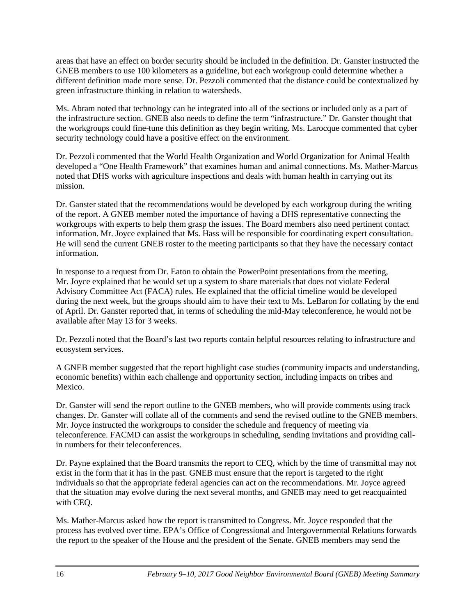areas that have an effect on border security should be included in the definition. Dr. Ganster instructed the GNEB members to use 100 kilometers as a guideline, but each workgroup could determine whether a different definition made more sense. Dr. Pezzoli commented that the distance could be contextualized by green infrastructure thinking in relation to watersheds.

Ms. Abram noted that technology can be integrated into all of the sections or included only as a part of the infrastructure section. GNEB also needs to define the term "infrastructure." Dr. Ganster thought that the workgroups could fine-tune this definition as they begin writing. Ms. Larocque commented that cyber security technology could have a positive effect on the environment.

Dr. Pezzoli commented that the World Health Organization and World Organization for Animal Health developed a "One Health Framework" that examines human and animal connections. Ms. Mather-Marcus noted that DHS works with agriculture inspections and deals with human health in carrying out its mission.

Dr. Ganster stated that the recommendations would be developed by each workgroup during the writing of the report. A GNEB member noted the importance of having a DHS representative connecting the workgroups with experts to help them grasp the issues. The Board members also need pertinent contact information. Mr. Joyce explained that Ms. Hass will be responsible for coordinating expert consultation. He will send the current GNEB roster to the meeting participants so that they have the necessary contact information.

In response to a request from Dr. Eaton to obtain the PowerPoint presentations from the meeting, Mr. Joyce explained that he would set up a system to share materials that does not violate Federal Advisory Committee Act (FACA) rules. He explained that the official timeline would be developed during the next week, but the groups should aim to have their text to Ms. LeBaron for collating by the end of April. Dr. Ganster reported that, in terms of scheduling the mid-May teleconference, he would not be available after May 13 for 3 weeks.

Dr. Pezzoli noted that the Board's last two reports contain helpful resources relating to infrastructure and ecosystem services.

A GNEB member suggested that the report highlight case studies (community impacts and understanding, economic benefits) within each challenge and opportunity section, including impacts on tribes and Mexico.

Dr. Ganster will send the report outline to the GNEB members, who will provide comments using track changes. Dr. Ganster will collate all of the comments and send the revised outline to the GNEB members. Mr. Joyce instructed the workgroups to consider the schedule and frequency of meeting via teleconference. FACMD can assist the workgroups in scheduling, sending invitations and providing callin numbers for their teleconferences.

Dr. Payne explained that the Board transmits the report to CEQ, which by the time of transmittal may not exist in the form that it has in the past. GNEB must ensure that the report is targeted to the right individuals so that the appropriate federal agencies can act on the recommendations. Mr. Joyce agreed that the situation may evolve during the next several months, and GNEB may need to get reacquainted with CEQ.

Ms. Mather-Marcus asked how the report is transmitted to Congress. Mr. Joyce responded that the process has evolved over time. EPA's Office of Congressional and Intergovernmental Relations forwards the report to the speaker of the House and the president of the Senate. GNEB members may send the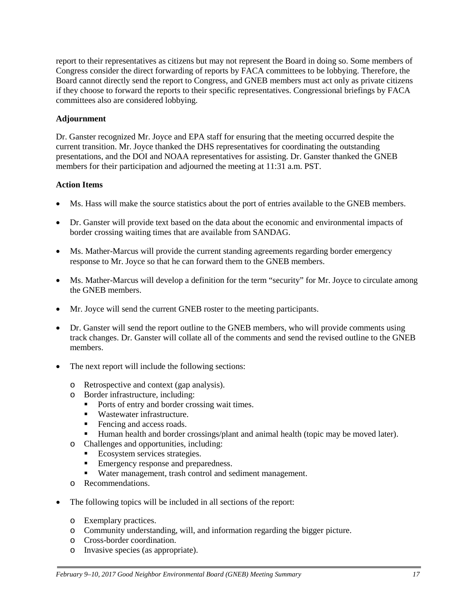report to their representatives as citizens but may not represent the Board in doing so. Some members of Congress consider the direct forwarding of reports by FACA committees to be lobbying. Therefore, the Board cannot directly send the report to Congress, and GNEB members must act only as private citizens if they choose to forward the reports to their specific representatives. Congressional briefings by FACA committees also are considered lobbying.

# **Adjournment**

Dr. Ganster recognized Mr. Joyce and EPA staff for ensuring that the meeting occurred despite the current transition. Mr. Joyce thanked the DHS representatives for coordinating the outstanding presentations, and the DOI and NOAA representatives for assisting. Dr. Ganster thanked the GNEB members for their participation and adjourned the meeting at 11:31 a.m. PST.

# **Action Items**

- Ms. Hass will make the source statistics about the port of entries available to the GNEB members.
- Dr. Ganster will provide text based on the data about the economic and environmental impacts of border crossing waiting times that are available from SANDAG.
- Ms. Mather-Marcus will provide the current standing agreements regarding border emergency response to Mr. Joyce so that he can forward them to the GNEB members.
- Ms. Mather-Marcus will develop a definition for the term "security" for Mr. Joyce to circulate among the GNEB members.
- Mr. Joyce will send the current GNEB roster to the meeting participants.
- Dr. Ganster will send the report outline to the GNEB members, who will provide comments using track changes. Dr. Ganster will collate all of the comments and send the revised outline to the GNEB members.
- The next report will include the following sections:
	- o Retrospective and context (gap analysis).
	- o Border infrastructure, including:
		- Ports of entry and border crossing wait times.
		- Wastewater infrastructure.
		- Fencing and access roads.
		- Human health and border crossings/plant and animal health (topic may be moved later).
	- o Challenges and opportunities, including:
		- Ecosystem services strategies.
		- **Emergency response and preparedness.**
		- Water management, trash control and sediment management.
	- o Recommendations.
- The following topics will be included in all sections of the report:
	- o Exemplary practices.
	- o Community understanding, will, and information regarding the bigger picture.
	- o Cross-border coordination.
	- o Invasive species (as appropriate).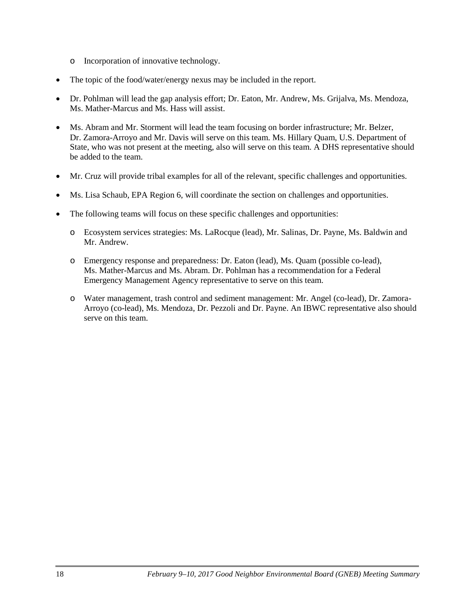- o Incorporation of innovative technology.
- The topic of the food/water/energy nexus may be included in the report.
- Dr. Pohlman will lead the gap analysis effort; Dr. Eaton, Mr. Andrew, Ms. Grijalva, Ms. Mendoza, Ms. Mather-Marcus and Ms. Hass will assist.
- Ms. Abram and Mr. Storment will lead the team focusing on border infrastructure; Mr. Belzer, Dr. Zamora-Arroyo and Mr. Davis will serve on this team. Ms. Hillary Quam, U.S. Department of State, who was not present at the meeting, also will serve on this team. A DHS representative should be added to the team.
- Mr. Cruz will provide tribal examples for all of the relevant, specific challenges and opportunities.
- Ms. Lisa Schaub, EPA Region 6, will coordinate the section on challenges and opportunities.
- The following teams will focus on these specific challenges and opportunities:
	- o Ecosystem services strategies: Ms. LaRocque (lead), Mr. Salinas, Dr. Payne, Ms. Baldwin and Mr. Andrew.
	- o Emergency response and preparedness: Dr. Eaton (lead), Ms. Quam (possible co-lead), Ms. Mather-Marcus and Ms. Abram. Dr. Pohlman has a recommendation for a Federal Emergency Management Agency representative to serve on this team.
	- o Water management, trash control and sediment management: Mr. Angel (co-lead), Dr. Zamora-Arroyo (co-lead), Ms. Mendoza, Dr. Pezzoli and Dr. Payne. An IBWC representative also should serve on this team.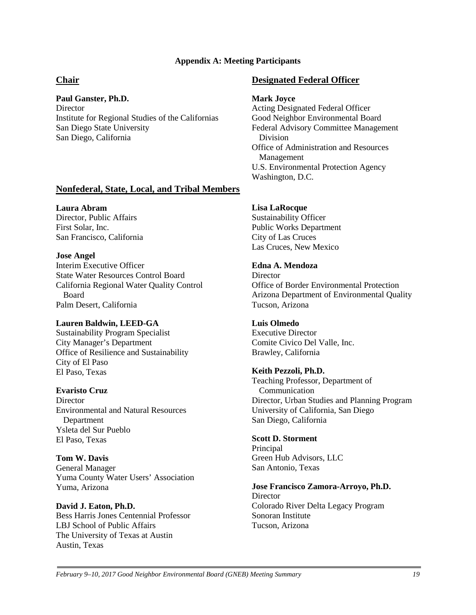#### **Appendix A: Meeting Participants**

# **Chair**

### **Paul Ganster, Ph.D.**

**Director** Institute for Regional Studies of the Californias San Diego State University San Diego, California

# **Nonfederal, State, Local, and Tribal Members**

### **Laura Abram**

Director, Public Affairs First Solar, Inc. San Francisco, California

# **Jose Angel**

Interim Executive Officer State Water Resources Control Board California Regional Water Quality Control Board Palm Desert, California

#### **Lauren Baldwin, LEED-GA**

Sustainability Program Specialist City Manager's Department Office of Resilience and Sustainability City of El Paso El Paso, Texas

# **Evaristo Cruz**

**Director** Environmental and Natural Resources Department Ysleta del Sur Pueblo El Paso, Texas

**Tom W. Davis** General Manager Yuma County Water Users' Association Yuma, Arizona

**David J. Eaton, Ph.D.** Bess Harris Jones Centennial Professor LBJ School of Public Affairs The University of Texas at Austin Austin, Texas

# **Designated Federal Officer**

#### **Mark Joyce**

Acting Designated Federal Officer Good Neighbor Environmental Board Federal Advisory Committee Management Division Office of Administration and Resources Management U.S. Environmental Protection Agency Washington, D.C.

# **Lisa LaRocque**

Sustainability Officer Public Works Department City of Las Cruces Las Cruces, New Mexico

## **Edna A. Mendoza**

**Director** Office of Border Environmental Protection Arizona Department of Environmental Quality Tucson, Arizona

### **Luis Olmedo**

Executive Director Comite Civico Del Valle, Inc. Brawley, California

# **Keith Pezzoli, Ph.D.**

Teaching Professor, Department of Communication Director, Urban Studies and Planning Program University of California, San Diego San Diego, California

#### **Scott D. Storment**

Tucson, Arizona

Principal Green Hub Advisors, LLC San Antonio, Texas

#### **Jose Francisco Zamora-Arroyo, Ph.D. Director** Colorado River Delta Legacy Program Sonoran Institute

*February 9–10, 2017 Good Neighbor Environmental Board (GNEB) Meeting Summary 19*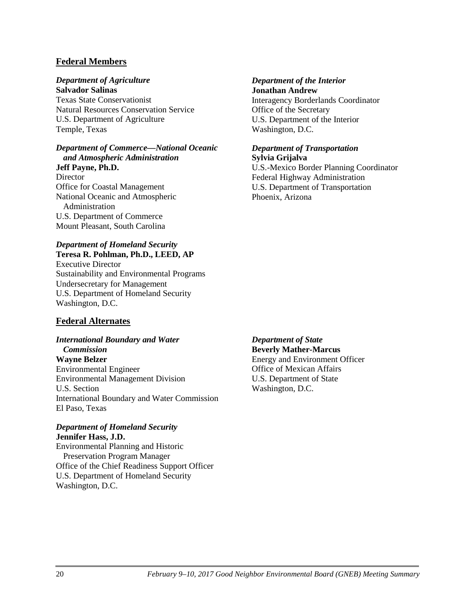# **Federal Members**

# *Department of Agriculture*

**Salvador Salinas** Texas State Conservationist Natural Resources Conservation Service U.S. Department of Agriculture Temple, Texas

#### *Department of Commerce—National Oceanic and Atmospheric Administration*

**Jeff Payne, Ph.D. Director** Office for Coastal Management National Oceanic and Atmospheric Administration U.S. Department of Commerce Mount Pleasant, South Carolina

#### *Department of Homeland Security*  **Teresa R. Pohlman, Ph.D., LEED, AP**

Executive Director Sustainability and Environmental Programs Undersecretary for Management U.S. Department of Homeland Security Washington, D.C.

# **Federal Alternates**

#### *International Boundary and Water Commission*

**Wayne Belzer** Environmental Engineer Environmental Management Division U.S. Section International Boundary and Water Commission El Paso, Texas

#### *Department of Homeland Security* **Jennifer Hass, J.D.**

Environmental Planning and Historic Preservation Program Manager Office of the Chief Readiness Support Officer U.S. Department of Homeland Security Washington, D.C.

#### *Department of the Interior* **Jonathan Andrew**

Interagency Borderlands Coordinator Office of the Secretary U.S. Department of the Interior Washington, D.C.

#### *Department of Transportation* **Sylvia Grijalva**

U.S.-Mexico Border Planning Coordinator Federal Highway Administration U.S. Department of Transportation Phoenix, Arizona

*Department of State* **Beverly Mather-Marcus** Energy and Environment Officer Office of Mexican Affairs U.S. Department of State Washington, D.C.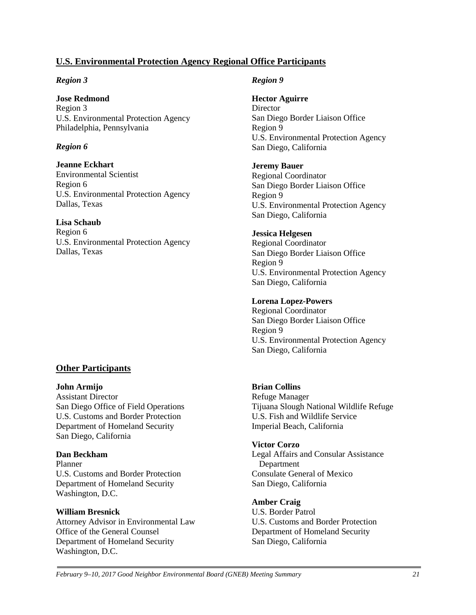# **U.S. Environmental Protection Agency Regional Office Participants**

### *Region 3*

## **Jose Redmond**

Region 3 U.S. Environmental Protection Agency Philadelphia, Pennsylvania

# *Region 6*

**Jeanne Eckhart** Environmental Scientist Region 6 U.S. Environmental Protection Agency Dallas, Texas

### **Lisa Schaub**

Region 6 U.S. Environmental Protection Agency Dallas, Texas

# **Other Participants**

#### **John Armijo**

Assistant Director San Diego Office of Field Operations U.S. Customs and Border Protection Department of Homeland Security San Diego, California

#### **Dan Beckham**

Planner U.S. Customs and Border Protection Department of Homeland Security Washington, D.C.

#### **William Bresnick**

Attorney Advisor in Environmental Law Office of the General Counsel Department of Homeland Security Washington, D.C.

### *Region 9*

**Hector Aguirre Director** San Diego Border Liaison Office Region 9 U.S. Environmental Protection Agency San Diego, California

#### **Jeremy Bauer**

Regional Coordinator San Diego Border Liaison Office Region 9 U.S. Environmental Protection Agency San Diego, California

### **Jessica Helgesen**

Regional Coordinator San Diego Border Liaison Office Region 9 U.S. Environmental Protection Agency San Diego, California

# **Lorena Lopez-Powers**

Regional Coordinator San Diego Border Liaison Office Region 9 U.S. Environmental Protection Agency San Diego, California

# **Brian Collins**

Refuge Manager Tijuana Slough National Wildlife Refuge U.S. Fish and Wildlife Service Imperial Beach, California

#### **Victor Corzo**

Legal Affairs and Consular Assistance Department Consulate General of Mexico San Diego, California

# **Amber Craig**

U.S. Border Patrol U.S. Customs and Border Protection Department of Homeland Security San Diego, California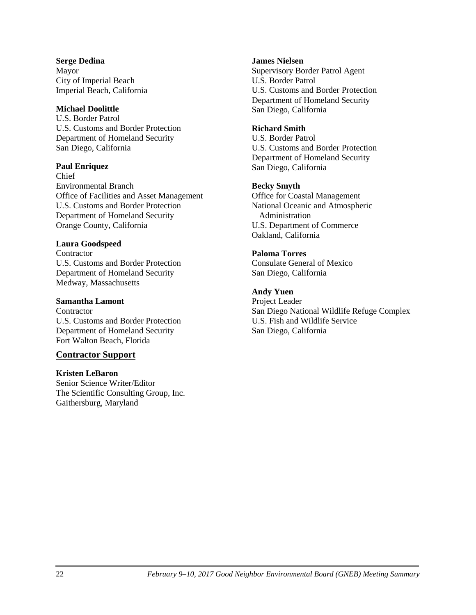#### **Serge Dedina** Mayor City of Imperial Beach Imperial Beach, California

# **Michael Doolittle**

U.S. Border Patrol U.S. Customs and Border Protection Department of Homeland Security San Diego, California

# **Paul Enriquez**

Chief Environmental Branch Office of Facilities and Asset Management U.S. Customs and Border Protection Department of Homeland Security Orange County, California

### **Laura Goodspeed**

**Contractor** U.S. Customs and Border Protection Department of Homeland Security Medway, Massachusetts

### **Samantha Lamont**

**Contractor** U.S. Customs and Border Protection Department of Homeland Security Fort Walton Beach, Florida

# **Contractor Support**

#### **Kristen LeBaron**

Senior Science Writer/Editor The Scientific Consulting Group, Inc. Gaithersburg, Maryland

### **James Nielsen**

Supervisory Border Patrol Agent U.S. Border Patrol U.S. Customs and Border Protection Department of Homeland Security San Diego, California

## **Richard Smith**

U.S. Border Patrol U.S. Customs and Border Protection Department of Homeland Security San Diego, California

# **Becky Smyth**

Office for Coastal Management National Oceanic and Atmospheric Administration U.S. Department of Commerce Oakland, California

## **Paloma Torres**

Consulate General of Mexico San Diego, California

# **Andy Yuen**

Project Leader San Diego National Wildlife Refuge Complex U.S. Fish and Wildlife Service San Diego, California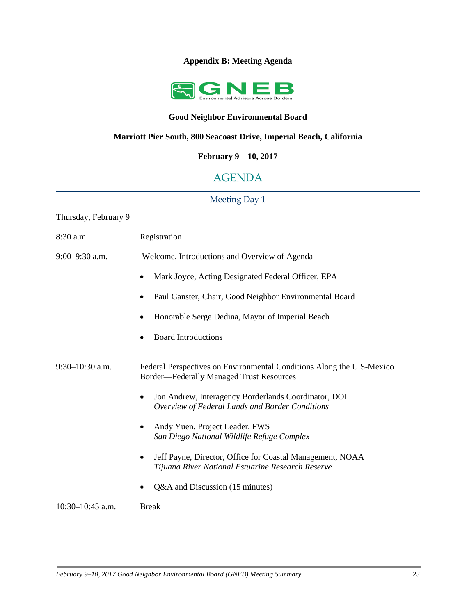# **Appendix B: Meeting Agenda**



# **Good Neighbor Environmental Board**

# **Marriott Pier South, 800 Seacoast Drive, Imperial Beach, California**

# **February 9 – 10, 2017**

# AGENDA

# Meeting Day 1

# Thursday, February 9

| 8:30 a.m.          | Registration                                                                                                             |
|--------------------|--------------------------------------------------------------------------------------------------------------------------|
| $9:00-9:30$ a.m.   | Welcome, Introductions and Overview of Agenda                                                                            |
|                    | Mark Joyce, Acting Designated Federal Officer, EPA                                                                       |
|                    | Paul Ganster, Chair, Good Neighbor Environmental Board                                                                   |
|                    | Honorable Serge Dedina, Mayor of Imperial Beach                                                                          |
|                    | <b>Board Introductions</b>                                                                                               |
| $9:30-10:30$ a.m.  | Federal Perspectives on Environmental Conditions Along the U.S-Mexico<br><b>Border-Federally Managed Trust Resources</b> |
|                    | Jon Andrew, Interagency Borderlands Coordinator, DOI<br>Overview of Federal Lands and Border Conditions                  |
|                    | Andy Yuen, Project Leader, FWS<br>San Diego National Wildlife Refuge Complex                                             |
|                    | Jeff Payne, Director, Office for Coastal Management, NOAA<br>Tijuana River National Estuarine Research Reserve           |
|                    | Q&A and Discussion (15 minutes)                                                                                          |
| $10:30-10:45$ a.m. | <b>Break</b>                                                                                                             |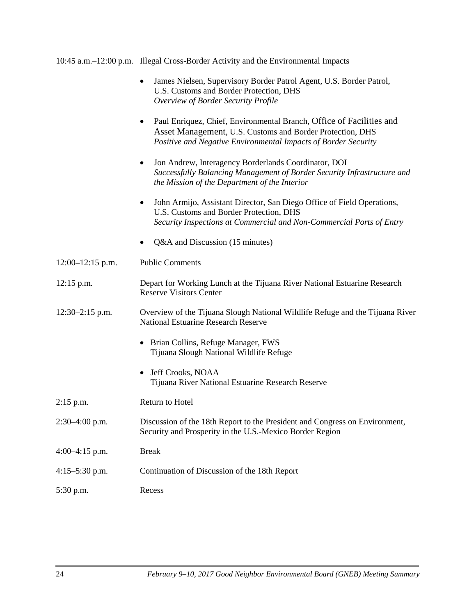10:45 a.m.–12:00 p.m. Illegal Cross-Border Activity and the Environmental Impacts

|                    | James Nielsen, Supervisory Border Patrol Agent, U.S. Border Patrol,<br>U.S. Customs and Border Protection, DHS<br>Overview of Border Security Profile                                                    |  |
|--------------------|----------------------------------------------------------------------------------------------------------------------------------------------------------------------------------------------------------|--|
|                    | Paul Enriquez, Chief, Environmental Branch, Office of Facilities and<br>٠<br>Asset Management, U.S. Customs and Border Protection, DHS<br>Positive and Negative Environmental Impacts of Border Security |  |
|                    | Jon Andrew, Interagency Borderlands Coordinator, DOI<br>Successfully Balancing Management of Border Security Infrastructure and<br>the Mission of the Department of the Interior                         |  |
|                    | John Armijo, Assistant Director, San Diego Office of Field Operations,<br>٠<br>U.S. Customs and Border Protection, DHS<br>Security Inspections at Commercial and Non-Commercial Ports of Entry           |  |
|                    | Q&A and Discussion (15 minutes)<br>٠                                                                                                                                                                     |  |
| $12:00-12:15$ p.m. | <b>Public Comments</b>                                                                                                                                                                                   |  |
| $12:15$ p.m.       | Depart for Working Lunch at the Tijuana River National Estuarine Research<br><b>Reserve Visitors Center</b>                                                                                              |  |
| $12:30-2:15$ p.m.  | Overview of the Tijuana Slough National Wildlife Refuge and the Tijuana River<br><b>National Estuarine Research Reserve</b>                                                                              |  |
|                    | Brian Collins, Refuge Manager, FWS<br>٠<br>Tijuana Slough National Wildlife Refuge                                                                                                                       |  |
|                    | <b>Jeff Crooks, NOAA</b><br>٠<br>Tijuana River National Estuarine Research Reserve                                                                                                                       |  |
| $2:15$ p.m.        | Return to Hotel                                                                                                                                                                                          |  |
| $2:30-4:00$ p.m.   | Discussion of the 18th Report to the President and Congress on Environment,<br>Security and Prosperity in the U.S.-Mexico Border Region                                                                  |  |
| $4:00-4:15$ p.m.   | <b>Break</b>                                                                                                                                                                                             |  |
| $4:15-5:30$ p.m.   | Continuation of Discussion of the 18th Report                                                                                                                                                            |  |
| 5:30 p.m.          | Recess                                                                                                                                                                                                   |  |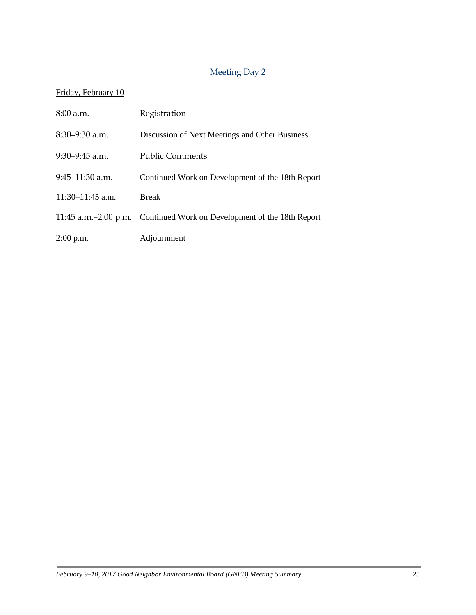# Meeting Day 2

# Friday, February 10

| $8:00$ a.m.        | Registration                                                          |
|--------------------|-----------------------------------------------------------------------|
| $8:30-9:30$ a.m.   | Discussion of Next Meetings and Other Business                        |
| $9:30-9:45$ a.m.   | <b>Public Comments</b>                                                |
| $9:45-11:30$ a.m.  | Continued Work on Development of the 18th Report                      |
| $11:30-11:45$ a.m. | <b>Break</b>                                                          |
|                    | 11:45 a.m.–2:00 p.m. Continued Work on Development of the 18th Report |
| $2:00$ p.m.        | Adjournment                                                           |